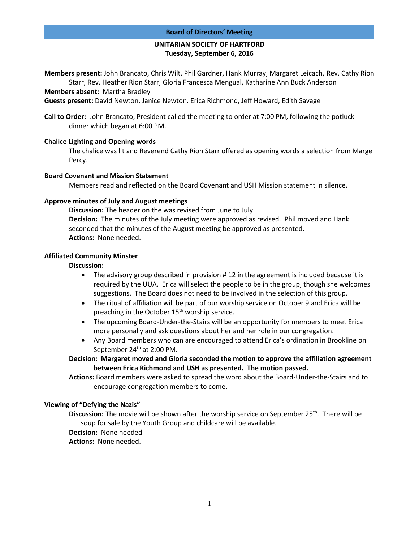## **UNITARIAN SOCIETY OF HARTFORD Tuesday, September 6, 2016**

**Members present:** John Brancato, Chris Wilt, Phil Gardner, Hank Murray, Margaret Leicach, Rev. Cathy Rion Starr, Rev. Heather Rion Starr, Gloria Francesca Mengual, Katharine Ann Buck Anderson

**Members absent:** Martha Bradley

**Guests present:** David Newton, Janice Newton. Erica Richmond, Jeff Howard, Edith Savage

**Call to Order:** John Brancato, President called the meeting to order at 7:00 PM, following the potluck dinner which began at 6:00 PM.

### **Chalice Lighting and Opening words**

The chalice was lit and Reverend Cathy Rion Starr offered as opening words a selection from Marge Percy.

#### **Board Covenant and Mission Statement**

Members read and reflected on the Board Covenant and USH Mission statement in silence.

### **Approve minutes of July and August meetings**

**Discussion:** The header on the was revised from June to July. **Decision:** The minutes of the July meeting were approved as revised. Phil moved and Hank seconded that the minutes of the August meeting be approved as presented. **Actions:** None needed.

### **Affiliated Community Minster**

#### **Discussion:**

- The advisory group described in provision # 12 in the agreement is included because it is required by the UUA. Erica will select the people to be in the group, though she welcomes suggestions. The Board does not need to be involved in the selection of this group.
- The ritual of affiliation will be part of our worship service on October 9 and Erica will be preaching in the October  $15<sup>th</sup>$  worship service.
- The upcoming Board-Under-the-Stairs will be an opportunity for members to meet Erica more personally and ask questions about her and her role in our congregation.
- Any Board members who can are encouraged to attend Erica's ordination in Brookline on September 24<sup>th</sup> at 2:00 PM.

**Decision: Margaret moved and Gloria seconded the motion to approve the affiliation agreement between Erica Richmond and USH as presented. The motion passed.**

**Actions:** Board members were asked to spread the word about the Board-Under-the-Stairs and to encourage congregation members to come.

### **Viewing of "Defying the Nazis"**

**Discussion:** The movie will be shown after the worship service on September 25<sup>th</sup>. There will be soup for sale by the Youth Group and childcare will be available.

**Decision:** None needed

**Actions:** None needed.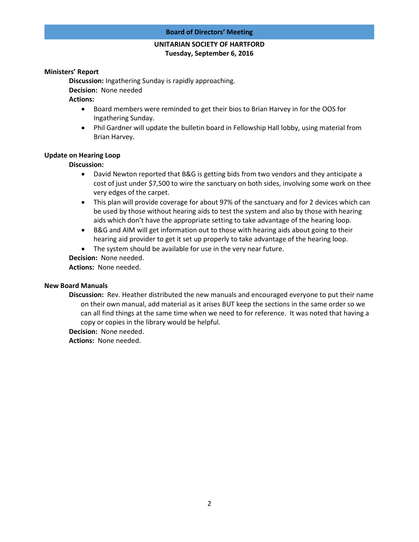# **UNITARIAN SOCIETY OF HARTFORD Tuesday, September 6, 2016**

### **Ministers' Report**

**Discussion:** Ingathering Sunday is rapidly approaching. **Decision:** None needed

## **Actions:**

- Board members were reminded to get their bios to Brian Harvey in for the OOS for Ingathering Sunday.
- Phil Gardner will update the bulletin board in Fellowship Hall lobby, using material from Brian Harvey.

#### **Update on Hearing Loop**

### **Discussion:**

- David Newton reported that B&G is getting bids from two vendors and they anticipate a cost of just under \$7,500 to wire the sanctuary on both sides, involving some work on thee very edges of the carpet.
- This plan will provide coverage for about 97% of the sanctuary and for 2 devices which can be used by those without hearing aids to test the system and also by those with hearing aids which don't have the appropriate setting to take advantage of the hearing loop.
- B&G and AIM will get information out to those with hearing aids about going to their hearing aid provider to get it set up properly to take advantage of the hearing loop.
- The system should be available for use in the very near future.
- **Decision:** None needed.

**Actions:** None needed.

#### **New Board Manuals**

**Discussion:** Rev. Heather distributed the new manuals and encouraged everyone to put their name on their own manual, add material as it arises BUT keep the sections in the same order so we can all find things at the same time when we need to for reference. It was noted that having a copy or copies in the library would be helpful.

**Decision:** None needed.

**Actions:** None needed.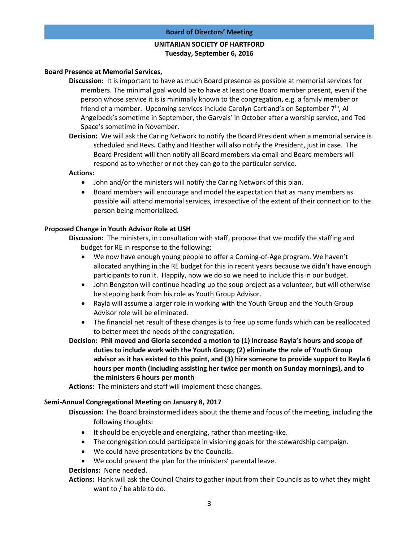# **UNITARIAN SOCIETY OF HARTFORD Tuesday, September 6, 2016**

### **Board Presence at Memorial Services,**

- **Discussion:** It is important to have as much Board presence as possible at memorial services for members. The minimal goal would be to have at least one Board member present, even if the person whose service it is is minimally known to the congregation, e.g. a family member or friend of a member. Upcoming services include Carolyn Cartland's on September  $7<sup>th</sup>$ , Al Angelbeck's sometime in September, the Garvais' in October after a worship service, and Ted Space's sometime in November.
- **Decision:** We will ask the Caring Network to notify the Board President when a memorial service is scheduled and Revs**.** Cathy and Heather will also notify the President, just in case. The Board President will then notify all Board members via email and Board members will respond as to whether or not they can go to the particular service.

### **Actions:**

- John and/or the ministers will notify the Caring Network of this plan.
- Board members will encourage and model the expectation that as many members as possible will attend memorial services, irrespective of the extent of their connection to the person being memorialized.

## **Proposed Change in Youth Advisor Role at USH**

**Discussion:** The ministers, in consultation with staff, propose that we modify the staffing and budget for RE in response to the following:

- We now have enough young people to offer a Coming-of-Age program. We haven't allocated anything in the RE budget for this in recent years because we didn't have enough participants to run it. Happily, now we do so we need to include this in our budget.
- John Bengston will continue heading up the soup project as a volunteer, but will otherwise be stepping back from his role as Youth Group Advisor.
- Rayla will assume a larger role in working with the Youth Group and the Youth Group Advisor role will be eliminated.
- The financial net result of these changes is to free up some funds which can be reallocated to better meet the needs of the congregation.
- **Decision: Phil moved and Gloria seconded a motion to (1) increase Rayla's hours and scope of duties to include work with the Youth Group; (2) eliminate the role of Youth Group advisor as it has existed to this point, and (3) hire someone to provide support to Rayla 6 hours per month (including assisting her twice per month on Sunday mornings), and to the ministers 6 hours per month**

**Actions:** The ministers and staff will implement these changes.

### **Semi-Annual Congregational Meeting on January 8, 2017**

**Discussion:** The Board brainstormed ideas about the theme and focus of the meeting, including the following thoughts:

- It should be enjoyable and energizing, rather than meeting-like.
- The congregation could participate in visioning goals for the stewardship campaign.
- We could have presentations by the Councils.
- We could present the plan for the ministers' parental leave.

# **Decisions:** None needed.

**Actions:** Hank will ask the Council Chairs to gather input from their Councils as to what they might want to / be able to do.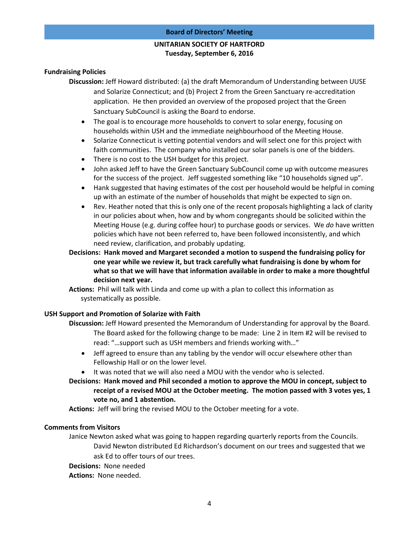# **UNITARIAN SOCIETY OF HARTFORD Tuesday, September 6, 2016**

### **Fundraising Policies**

- **Discussion:** Jeff Howard distributed: (a) the draft Memorandum of Understanding between UUSE and Solarize Connecticut; and (b) Project 2 from the Green Sanctuary re-accreditation application. He then provided an overview of the proposed project that the Green Sanctuary SubCouncil is asking the Board to endorse.
	- The goal is to encourage more households to convert to solar energy, focusing on households within USH and the immediate neighbourhood of the Meeting House.
	- Solarize Connecticut is vetting potential vendors and will select one for this project with faith communities. The company who installed our solar panels is one of the bidders.
	- There is no cost to the USH budget for this project.
	- John asked Jeff to have the Green Sanctuary SubCouncil come up with outcome measures for the success of the project. Jeff suggested something like "10 households signed up".
	- Hank suggested that having estimates of the cost per household would be helpful in coming up with an estimate of the number of households that might be expected to sign on.
	- Rev. Heather noted that this is only one of the recent proposals highlighting a lack of clarity in our policies about when, how and by whom congregants should be solicited within the Meeting House (e.g. during coffee hour) to purchase goods or services. We *do* have written policies which have not been referred to, have been followed inconsistently, and which need review, clarification, and probably updating.
- **Decisions: Hank moved and Margaret seconded a motion to suspend the fundraising policy for one year while we review it, but track carefully what fundraising is done by whom for what so that we will have that information available in order to make a more thoughtful decision next year.**
- **Actions:** Phil will talk with Linda and come up with a plan to collect this information as systematically as possible.

### **USH Support and Promotion of Solarize with Faith**

**Discussion:** Jeff Howard presented the Memorandum of Understanding for approval by the Board.

- The Board asked for the following change to be made: Line 2 in Item #2 will be revised to read: "…support such as USH members and friends working with…"
- Jeff agreed to ensure than any tabling by the vendor will occur elsewhere other than Fellowship Hall or on the lower level.
- It was noted that we will also need a MOU with the vendor who is selected.

**Decisions: Hank moved and Phil seconded a motion to approve the MOU in concept, subject to receipt of a revised MOU at the October meeting. The motion passed with 3 votes yes, 1 vote no, and 1 abstention.**

**Actions:** Jeff will bring the revised MOU to the October meeting for a vote.

### **Comments from Visitors**

Janice Newton asked what was going to happen regarding quarterly reports from the Councils. David Newton distributed Ed Richardson's document on our trees and suggested that we ask Ed to offer tours of our trees.

**Decisions:** None needed

**Actions:** None needed.